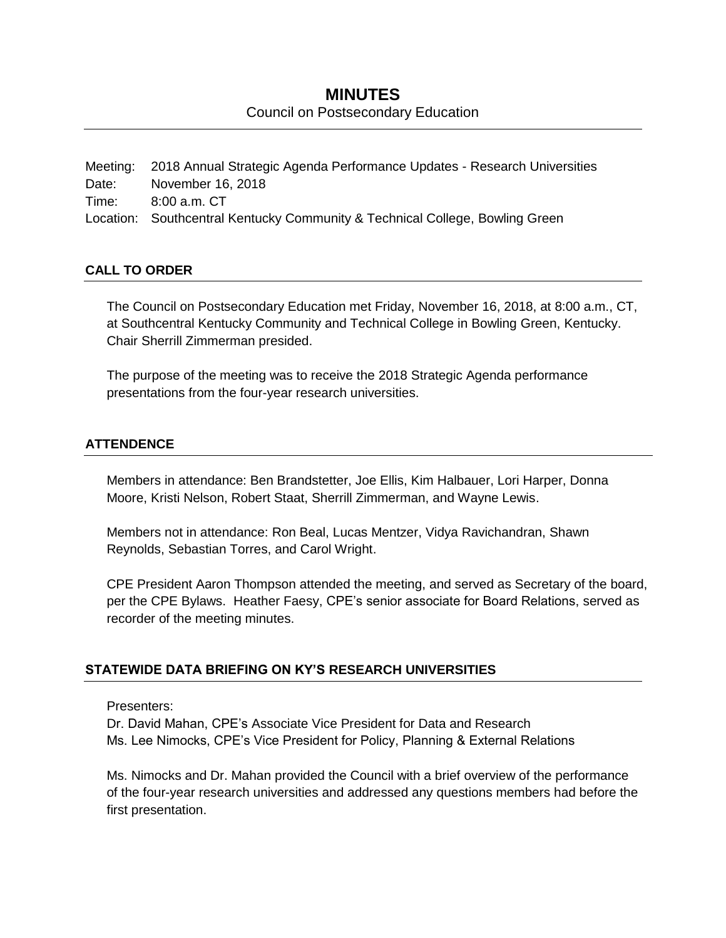## **MINUTES** Council on Postsecondary Education

Meeting: 2018 Annual Strategic Agenda Performance Updates - Research Universities Date: November 16, 2018 Time: 8:00 a.m. CT Location: Southcentral Kentucky Community & Technical College, Bowling Green

### **CALL TO ORDER**

The Council on Postsecondary Education met Friday, November 16, 2018, at 8:00 a.m., CT, at Southcentral Kentucky Community and Technical College in Bowling Green, Kentucky. Chair Sherrill Zimmerman presided.

The purpose of the meeting was to receive the 2018 Strategic Agenda performance presentations from the four-year research universities.

### **ATTENDENCE**

Members in attendance: Ben Brandstetter, Joe Ellis, Kim Halbauer, Lori Harper, Donna Moore, Kristi Nelson, Robert Staat, Sherrill Zimmerman, and Wayne Lewis.

Members not in attendance: Ron Beal, Lucas Mentzer, Vidya Ravichandran, Shawn Reynolds, Sebastian Torres, and Carol Wright.

CPE President Aaron Thompson attended the meeting, and served as Secretary of the board, per the CPE Bylaws. Heather Faesy, CPE's senior associate for Board Relations, served as recorder of the meeting minutes.

## **STATEWIDE DATA BRIEFING ON KY'S RESEARCH UNIVERSITIES**

Presenters:

Dr. David Mahan, CPE's Associate Vice President for Data and Research Ms. Lee Nimocks, CPE's Vice President for Policy, Planning & External Relations

Ms. Nimocks and Dr. Mahan provided the Council with a brief overview of the performance of the four-year research universities and addressed any questions members had before the first presentation.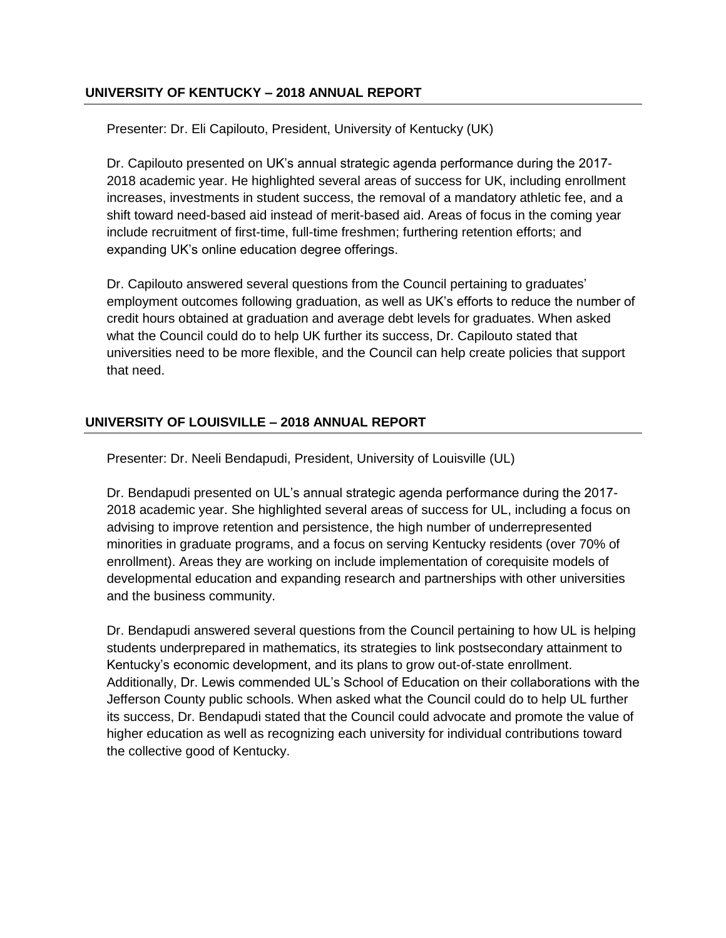### **UNIVERSITY OF KENTUCKY – 2018 ANNUAL REPORT**

Presenter: Dr. Eli Capilouto, President, University of Kentucky (UK)

Dr. Capilouto presented on UK's annual strategic agenda performance during the 2017- 2018 academic year. He highlighted several areas of success for UK, including enrollment increases, investments in student success, the removal of a mandatory athletic fee, and a shift toward need-based aid instead of merit-based aid. Areas of focus in the coming year include recruitment of first-time, full-time freshmen; furthering retention efforts; and expanding UK's online education degree offerings.

Dr. Capilouto answered several questions from the Council pertaining to graduates' employment outcomes following graduation, as well as UK's efforts to reduce the number of credit hours obtained at graduation and average debt levels for graduates. When asked what the Council could do to help UK further its success, Dr. Capilouto stated that universities need to be more flexible, and the Council can help create policies that support that need.

## **UNIVERSITY OF LOUISVILLE – 2018 ANNUAL REPORT**

Presenter: Dr. Neeli Bendapudi, President, University of Louisville (UL)

Dr. Bendapudi presented on UL's annual strategic agenda performance during the 2017- 2018 academic year. She highlighted several areas of success for UL, including a focus on advising to improve retention and persistence, the high number of underrepresented minorities in graduate programs, and a focus on serving Kentucky residents (over 70% of enrollment). Areas they are working on include implementation of corequisite models of developmental education and expanding research and partnerships with other universities and the business community.

Dr. Bendapudi answered several questions from the Council pertaining to how UL is helping students underprepared in mathematics, its strategies to link postsecondary attainment to Kentucky's economic development, and its plans to grow out-of-state enrollment. Additionally, Dr. Lewis commended UL's School of Education on their collaborations with the Jefferson County public schools. When asked what the Council could do to help UL further its success, Dr. Bendapudi stated that the Council could advocate and promote the value of higher education as well as recognizing each university for individual contributions toward the collective good of Kentucky.